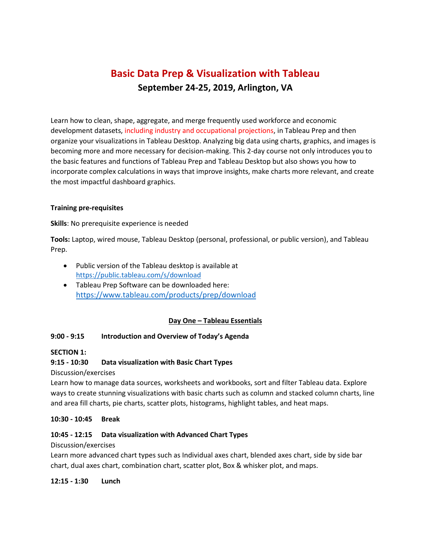# **Basic Data Prep & Visualization with Tableau September 24-25, 2019, Arlington, VA**

Learn how to clean, shape, aggregate, and merge frequently used workforce and economic development datasets, including industry and occupational projections, in Tableau Prep and then organize your visualizations in Tableau Desktop. Analyzing big data using charts, graphics, and images is becoming more and more necessary for decision-making. This 2-day course not only introduces you to the basic features and functions of Tableau Prep and Tableau Desktop but also shows you how to incorporate complex calculations in ways that improve insights, make charts more relevant, and create the most impactful dashboard graphics.

### **Training pre-requisites**

**Skills**: No prerequisite experience is needed

**Tools:** Laptop, wired mouse, Tableau Desktop (personal, professional, or public version), and Tableau Prep.

- Public version of the Tableau desktop is available at <https://public.tableau.com/s/download>
- Tableau Prep Software can be downloaded here: <https://www.tableau.com/products/prep/download>

# **Day One – Tableau Essentials**

### **9:00 - 9:15 Introduction and Overview of Today's Agenda**

### **SECTION 1:**

### **9:15 - 10:30 Data visualization with Basic Chart Types**

Discussion/exercises

Learn how to manage data sources, worksheets and workbooks, sort and filter Tableau data. Explore ways to create stunning visualizations with basic charts such as column and stacked column charts, line and area fill charts, pie charts, scatter plots, histograms, highlight tables, and heat maps.

### **10:30 - 10:45 Break**

### **10:45 - 12:15 Data visualization with Advanced Chart Types**

### Discussion/exercises

Learn more advanced chart types such as Individual axes chart, blended axes chart, side by side bar chart, dual axes chart, combination chart, scatter plot, Box & whisker plot, and maps.

### **12:15 - 1:30 Lunch**